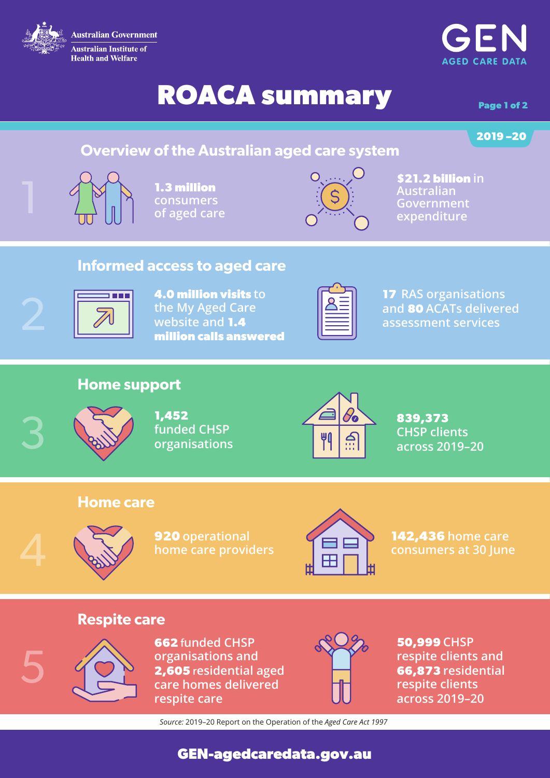

# **ROACA summary** Page 1 of 2

**AGFD CARE DATA** 

# **2019 –20**

## **Overview of the Australian aged care system**



**1.3 million consumers of aged care** 



**\$21.2 billion in Australian** 

#### **Informed access to aged care**



**4.0 million visits to the My Aged Care website and 1.4 million calls answered**



**17 RAS organisations and 80 ACATs delivered assessment services**

### **Home support**



5

**1,452 funded CHSP organisations**



**839,373 CHSP clients across 2019–20**

#### **Home care**



**920 operational home care providers**



**142,436 home care** 

### **Respite care**



**662** f**unded CHSP organisations and 2,605** r**esidential aged care homes delivered respite care**



**50,999 CHSP respite clients and 66,873 residential respite clients across 2019–20**

*Source:* 2019–20 Report on the Operation of the *Aged Care Act 1997*

**GEN-agedcaredata.gov.au**